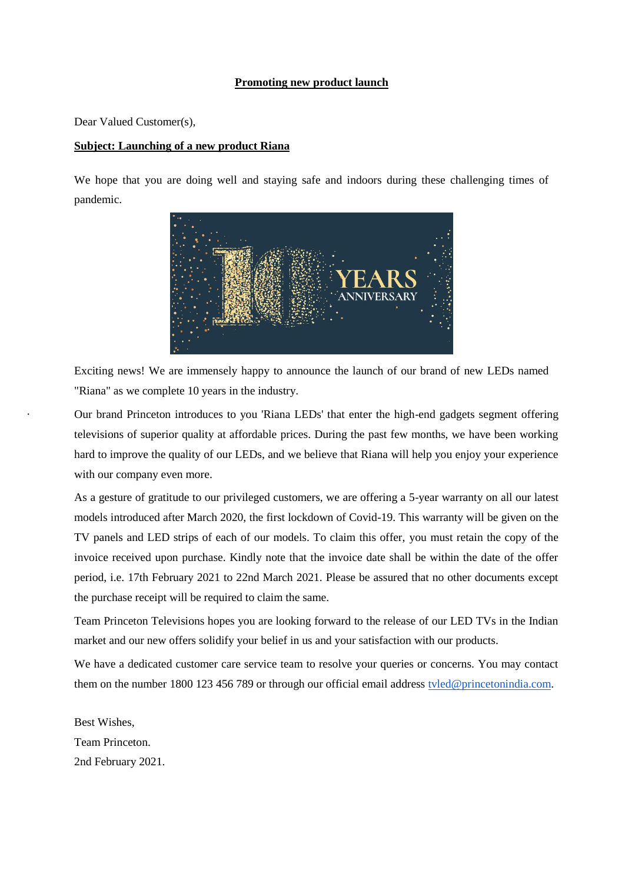#### **Promoting new product launch**

Dear Valued Customer(s),

#### **Subject: Launching of a new product Riana**

We hope that you are doing well and staying safe and indoors during these challenging times of pandemic.



Exciting news! We are immensely happy to announce the launch of our brand of new LEDs named "Riana" as we complete 10 years in the industry.

· Our brand Princeton introduces to you 'Riana LEDs' that enter the high-end gadgets segment offering televisions of superior quality at affordable prices. During the past few months, we have been working hard to improve the quality of our LEDs, and we believe that Riana will help you enjoy your experience with our company even more.

As a gesture of gratitude to our privileged customers, we are offering a 5-year warranty on all our latest models introduced after March 2020, the first lockdown of Covid-19. This warranty will be given on the TV panels and LED strips of each of our models. To claim this offer, you must retain the copy of the invoice received upon purchase. Kindly note that the invoice date shall be within the date of the offer period, i.e. 17th February 2021 to 22nd March 2021. Please be assured that no other documents except the purchase receipt will be required to claim the same.

Team Princeton Televisions hopes you are looking forward to the release of our LED TVs in the Indian market and our new offers solidify your belief in us and your satisfaction with our products.

We have a dedicated customer care service team to resolve your queries or concerns. You may contact them on the number 1800 123 456 789 or through our official email address [tvled@princetonindia.com.](mailto:tvled@princetonindia.com)

Best Wishes, Team Princeton. 2nd February 2021.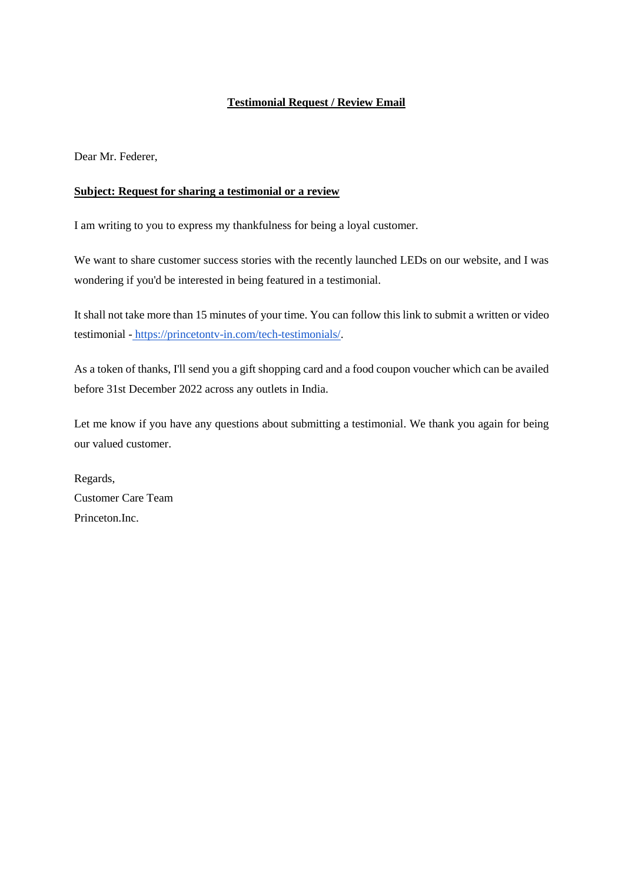# **Testimonial Request / Review Email**

Dear Mr. Federer,

# **Subject: Request for sharing a testimonial or a review**

I am writing to you to express my thankfulness for being a loyal customer.

We want to share customer success stories with the recently launched LEDs on our website, and I was wondering if you'd be interested in being featured in a testimonial.

It shall not take more than 15 minutes of your time. You ca[n follow this link](https://www.hubspot.com/products/customer-testimonials?hubs_post=blog.hubspot.com/service/testimonial-request-template&hubs_post-cta=follow%20this%20link) to submit a written or video testimonial - [https://princetontv-in.com/tech-testimonials/.](https://princetontv-in.com/tech-testimonials/)

As a token of thanks, I'll send you a gift shopping card and a food coupon voucher which can be availed before 31st December 2022 across any outlets in India.

Let me know if you have any questions about submitting a testimonial. We thank you again for being our valued customer.

Regards, Customer Care Team Princeton.Inc.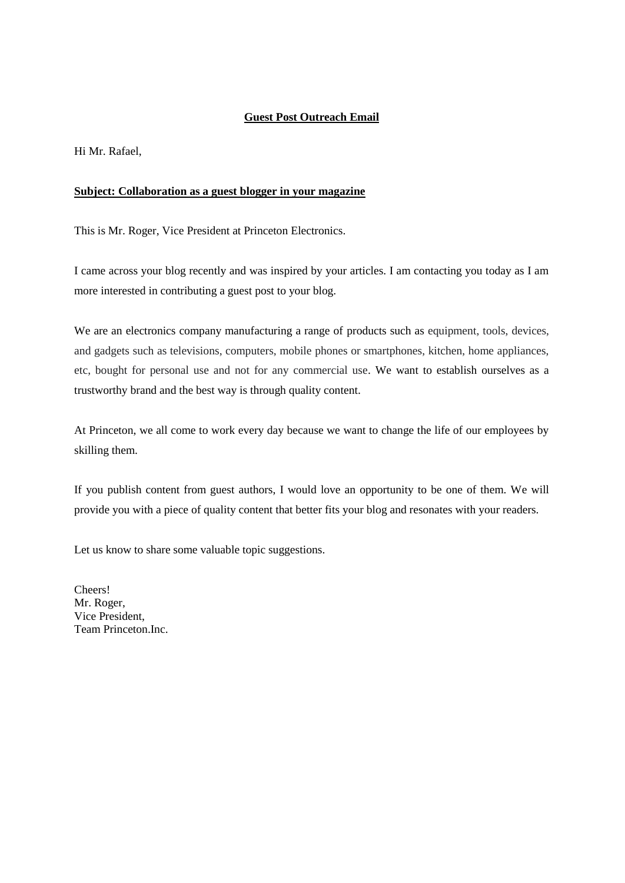# **Guest Post Outreach Email**

Hi Mr. Rafael,

#### **Subject: Collaboration as a guest blogger in your magazine**

This is Mr. Roger, Vice President at Princeton Electronics.

I came across your blog recently and was inspired by your articles. I am contacting you today as I am more interested in contributing a guest post to your blog.

We are an electronics company manufacturing a range of products such as equipment, tools, devices, and gadgets such as televisions, computers, mobile phones or smartphones, kitchen, home appliances, etc, bought for personal use and not for any commercial use. We want to establish ourselves as a trustworthy brand and the best way is through quality content.

At Princeton, we all come to work every day because we want to change the life of our employees by skilling them.

If you publish content from guest authors, I would love an opportunity to be one of them. We will provide you with a piece of quality content that better fits your blog and resonates with your readers.

Let us know to share some valuable topic suggestions.

Cheers! Mr. Roger, Vice President, Team Princeton.Inc.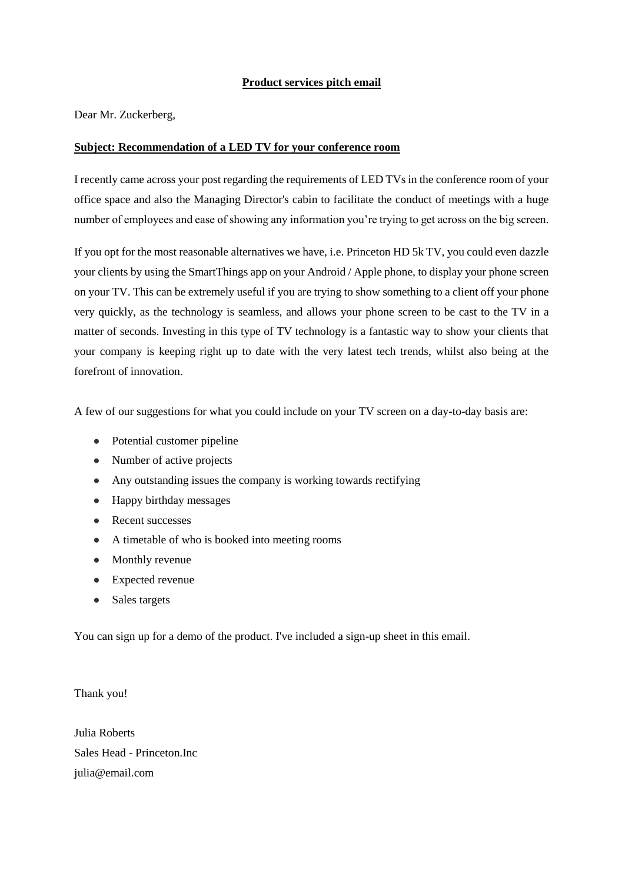### **Product services pitch email**

Dear Mr. Zuckerberg,

### **Subject: Recommendation of a LED TV for your conference room**

I recently came across your post regarding the requirements of LED TVs in the conference room of your office space and also the Managing Director's cabin to facilitate the conduct of meetings with a huge number of employees and ease of showing any information you're trying to get across on the big screen.

If you opt for the most reasonable alternatives we have, i.e. Princeton HD 5k TV, you could even dazzle your clients by using the SmartThings app on your Android / Apple phone, to display your phone screen on your TV. This can be extremely useful if you are trying to show something to a client off your phone very quickly, as the technology is seamless, and allows your phone screen to be cast to the TV in a matter of seconds. Investing in this type of TV technology is a fantastic way to show your clients that your company is keeping right up to date with the very latest tech trends, whilst also being at the forefront of innovation.

A few of our suggestions for what you could include on your TV screen on a day-to-day basis are:

- Potential customer pipeline
- Number of active projects
- Any outstanding issues the company is working towards rectifying
- Happy birthday messages
- Recent successes
- A timetable of who is booked into meeting rooms
- Monthly revenue
- Expected revenue
- Sales targets

You can sign up for a demo of the product. I've included a sign-up sheet in this email.

Thank you!

Julia Roberts Sales Head - Princeton.Inc julia@email.com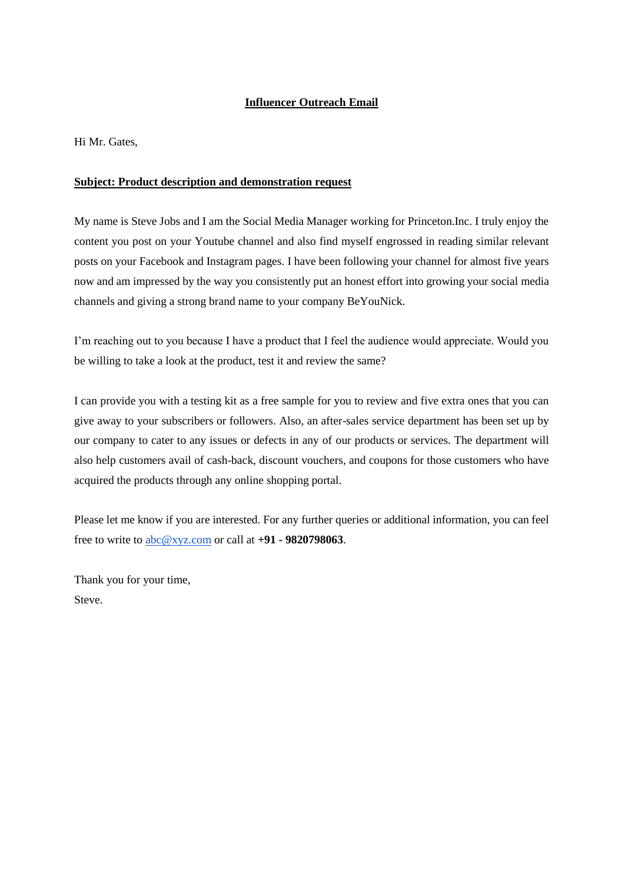# **Influencer Outreach Email**

Hi Mr. Gates,

# **Subject: Product description and demonstration request**

My name is Steve Jobs and I am the Social Media Manager working for Princeton.Inc. I truly enjoy the content you post on your Youtube channel and also find myself engrossed in reading similar relevant posts on your Facebook and Instagram pages. I have been following your channel for almost five years now and am impressed by the way you consistently put an honest effort into growing your social media channels and giving a strong brand name to your company BeYouNick.

I'm reaching out to you because I have a product that I feel the audience would appreciate. Would you be willing to take a look at the product, test it and review the same?

I can provide you with a testing kit as a free sample for you to review and five extra ones that you can give away to your subscribers or followers. Also, an after-sales service department has been set up by our company to cater to any issues or defects in any of our products or services. The department will also help customers avail of cash-back, discount vouchers, and coupons for those customers who have acquired the products through any online shopping portal.

Please let me know if you are interested. For any further queries or additional information, you can feel free to write to [abc@xyz.com](mailto:abc@xyz.com) or call at **+91 - 9820798063**.

Thank you for your time, Steve.